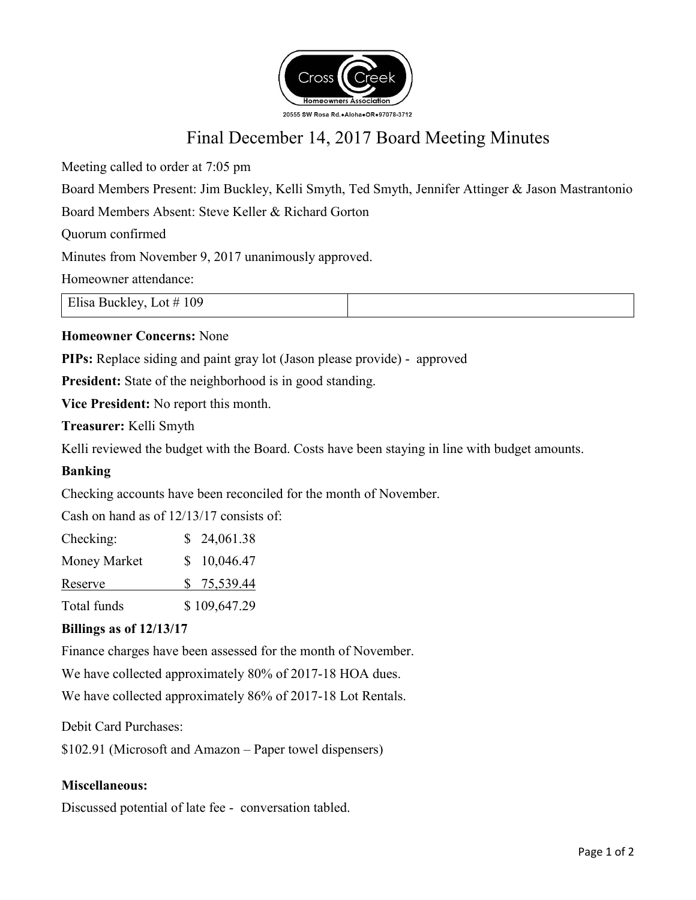

# Final December 14, 2017 Board Meeting Minutes

Meeting called to order at 7:05 pm

Board Members Present: Jim Buckley, Kelli Smyth, Ted Smyth, Jennifer Attinger & Jason Mastrantonio

Board Members Absent: Steve Keller & Richard Gorton

Quorum confirmed

Minutes from November 9, 2017 unanimously approved.

Homeowner attendance:

Elisa Buckley, Lot # 109

## **Homeowner Concerns:** None

**PIPs:** Replace siding and paint gray lot (Jason please provide) - approved

**President:** State of the neighborhood is in good standing.

**Vice President:** No report this month.

**Treasurer:** Kelli Smyth

Kelli reviewed the budget with the Board. Costs have been staying in line with budget amounts.

## **Banking**

Checking accounts have been reconciled for the month of November.

Cash on hand as of 12/13/17 consists of:

| Checking:    | \$24,061.38  |
|--------------|--------------|
| Money Market | \$10,046.47  |
| Reserve      | \$75,539.44  |
| Total funds  | \$109,647.29 |

## **Billings as of 12/13/17**

Finance charges have been assessed for the month of November.

We have collected approximately 80% of 2017-18 HOA dues.

We have collected approximately 86% of 2017-18 Lot Rentals.

Debit Card Purchases:

\$102.91 (Microsoft and Amazon – Paper towel dispensers)

## **Miscellaneous:**

Discussed potential of late fee - conversation tabled.